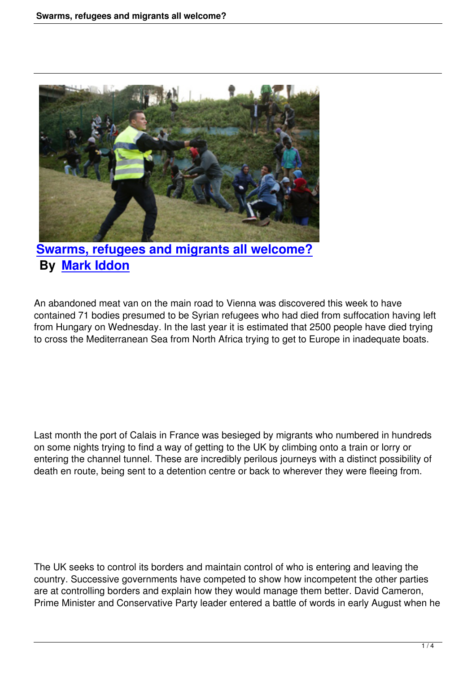

**Swarms, refugees and migrants all welcome? By Mark Iddon**

An ab[andoned meat va](people.html#mark-iddon)n on the main road to Vienna was discovered this week to have contained 71 bodies presumed to be Syrian refugees who had died from suffocation having left from Hungary on Wednesday. In the last year it is estimated that 2500 people have died trying to cross the Mediterranean Sea from North Africa trying to get to Europe in inadequate boats.

Last month the port of Calais in France was besieged by migrants who numbered in hundreds on some nights trying to find a way of getting to the UK by climbing onto a train or lorry or entering the channel tunnel. These are incredibly perilous journeys with a distinct possibility of death en route, being sent to a detention centre or back to wherever they were fleeing from.

The UK seeks to control its borders and maintain control of who is entering and leaving the country. Successive governments have competed to show how incompetent the other parties are at controlling borders and explain how they would manage them better. David Cameron, Prime Minister and Conservative Party leader entered a battle of words in early August when he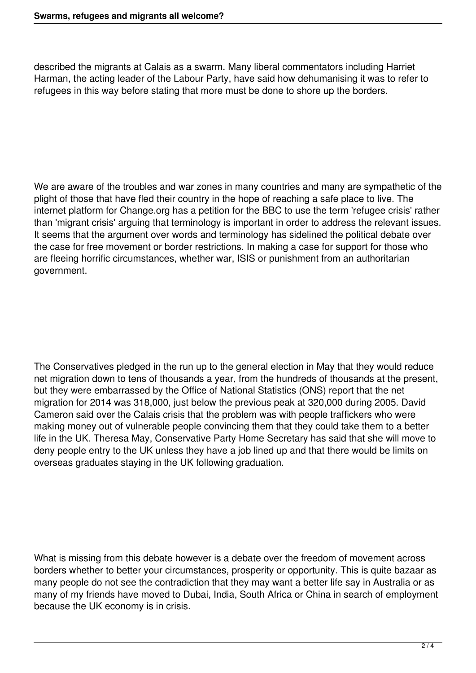described the migrants at Calais as a swarm. Many liberal commentators including Harriet Harman, the acting leader of the Labour Party, have said how dehumanising it was to refer to refugees in this way before stating that more must be done to shore up the borders.

We are aware of the troubles and war zones in many countries and many are sympathetic of the plight of those that have fled their country in the hope of reaching a safe place to live. The internet platform for Change.org has a petition for the BBC to use the term 'refugee crisis' rather than 'migrant crisis' arguing that terminology is important in order to address the relevant issues. It seems that the argument over words and terminology has sidelined the political debate over the case for free movement or border restrictions. In making a case for support for those who are fleeing horrific circumstances, whether war, ISIS or punishment from an authoritarian government.

The Conservatives pledged in the run up to the general election in May that they would reduce net migration down to tens of thousands a year, from the hundreds of thousands at the present, but they were embarrassed by the Office of National Statistics (ONS) report that the net migration for 2014 was 318,000, just below the previous peak at 320,000 during 2005. David Cameron said over the Calais crisis that the problem was with people traffickers who were making money out of vulnerable people convincing them that they could take them to a better life in the UK. Theresa May, Conservative Party Home Secretary has said that she will move to deny people entry to the UK unless they have a job lined up and that there would be limits on overseas graduates staying in the UK following graduation.

What is missing from this debate however is a debate over the freedom of movement across borders whether to better your circumstances, prosperity or opportunity. This is quite bazaar as many people do not see the contradiction that they may want a better life say in Australia or as many of my friends have moved to Dubai, India, South Africa or China in search of employment because the UK economy is in crisis.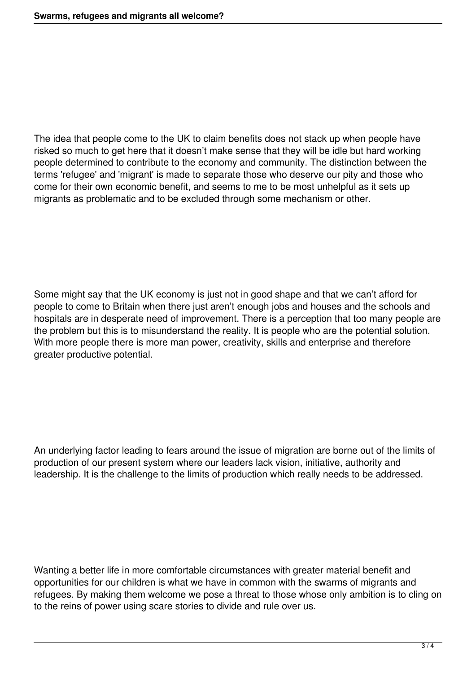The idea that people come to the UK to claim benefits does not stack up when people have risked so much to get here that it doesn't make sense that they will be idle but hard working people determined to contribute to the economy and community. The distinction between the terms 'refugee' and 'migrant' is made to separate those who deserve our pity and those who come for their own economic benefit, and seems to me to be most unhelpful as it sets up migrants as problematic and to be excluded through some mechanism or other.

Some might say that the UK economy is just not in good shape and that we can't afford for people to come to Britain when there just aren't enough jobs and houses and the schools and hospitals are in desperate need of improvement. There is a perception that too many people are the problem but this is to misunderstand the reality. It is people who are the potential solution. With more people there is more man power, creativity, skills and enterprise and therefore greater productive potential.

An underlying factor leading to fears around the issue of migration are borne out of the limits of production of our present system where our leaders lack vision, initiative, authority and leadership. It is the challenge to the limits of production which really needs to be addressed.

Wanting a better life in more comfortable circumstances with greater material benefit and opportunities for our children is what we have in common with the swarms of migrants and refugees. By making them welcome we pose a threat to those whose only ambition is to cling on to the reins of power using scare stories to divide and rule over us.